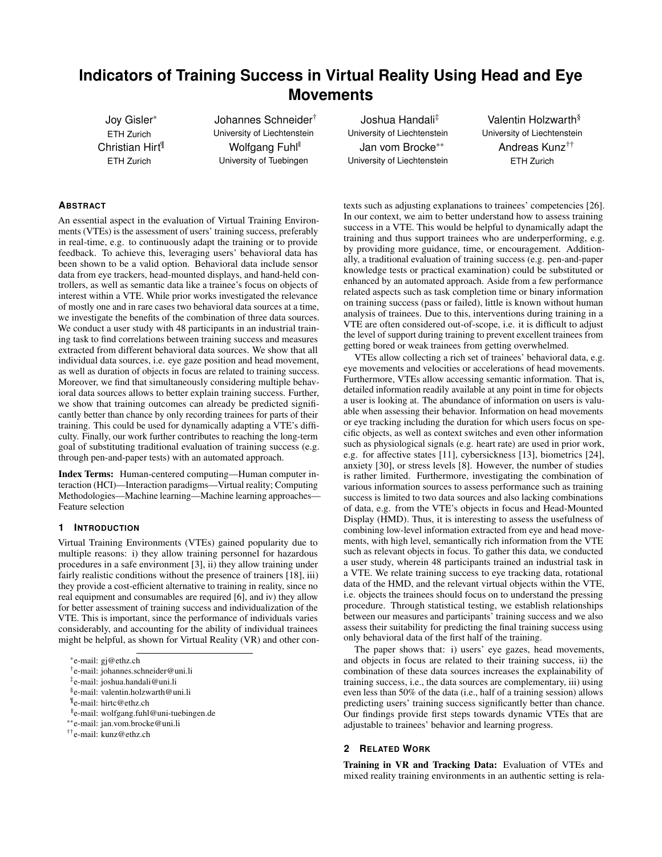# **Indicators of Training Success in Virtual Reality Using Head and Eye Movements**

Joy Gisler\* ETH Zurich Christian Hirt¶ ETH Zurich

Johannes Schneider† University of Liechtenstein Wolfgang Fuhl<sup>®</sup> University of Tuebingen

Joshua Handali‡ University of Liechtenstein Jan vom Brocke\*\* University of Liechtenstein

Valentin Holzwarth§ University of Liechtenstein Andreas Kunz†† ETH Zurich

# **ABSTRACT**

An essential aspect in the evaluation of Virtual Training Environments (VTEs) is the assessment of users' training success, preferably in real-time, e.g. to continuously adapt the training or to provide feedback. To achieve this, leveraging users' behavioral data has been shown to be a valid option. Behavioral data include sensor data from eye trackers, head-mounted displays, and hand-held controllers, as well as semantic data like a trainee's focus on objects of interest within a VTE. While prior works investigated the relevance of mostly one and in rare cases two behavioral data sources at a time, we investigate the benefits of the combination of three data sources. We conduct a user study with 48 participants in an industrial training task to find correlations between training success and measures extracted from different behavioral data sources. We show that all individual data sources, i.e. eye gaze position and head movement, as well as duration of objects in focus are related to training success. Moreover, we find that simultaneously considering multiple behavioral data sources allows to better explain training success. Further, we show that training outcomes can already be predicted significantly better than chance by only recording trainees for parts of their training. This could be used for dynamically adapting a VTE's difficulty. Finally, our work further contributes to reaching the long-term goal of substituting traditional evaluation of training success (e.g. through pen-and-paper tests) with an automated approach.

Index Terms: Human-centered computing—Human computer interaction (HCI)—Interaction paradigms—Virtual reality; Computing Methodologies—Machine learning—Machine learning approaches— Feature selection

# **1 INTRODUCTION**

Virtual Training Environments (VTEs) gained popularity due to multiple reasons: i) they allow training personnel for hazardous procedures in a safe environment [\[3\]](#page-5-0), ii) they allow training under fairly realistic conditions without the presence of trainers [\[18\]](#page-5-1), iii) they provide a cost-efficient alternative to training in reality, since no real equipment and consumables are required [\[6\]](#page-5-2), and iv) they allow for better assessment of training success and individualization of the VTE. This is important, since the performance of individuals varies considerably, and accounting for the ability of individual trainees might be helpful, as shown for Virtual Reality (VR) and other con-

\*e-mail: gj@ethz.ch

||e-mail: wolfgang.fuhl@uni-tuebingen.de

texts such as adjusting explanations to trainees' competencies [\[26\]](#page-5-3). In our context, we aim to better understand how to assess training success in a VTE. This would be helpful to dynamically adapt the training and thus support trainees who are underperforming, e.g. by providing more guidance, time, or encouragement. Additionally, a traditional evaluation of training success (e.g. pen-and-paper knowledge tests or practical examination) could be substituted or enhanced by an automated approach. Aside from a few performance related aspects such as task completion time or binary information on training success (pass or failed), little is known without human analysis of trainees. Due to this, interventions during training in a VTE are often considered out-of-scope, i.e. it is difficult to adjust the level of support during training to prevent excellent trainees from getting bored or weak trainees from getting overwhelmed.

VTEs allow collecting a rich set of trainees' behavioral data, e.g. eye movements and velocities or accelerations of head movements. Furthermore, VTEs allow accessing semantic information. That is, detailed information readily available at any point in time for objects a user is looking at. The abundance of information on users is valuable when assessing their behavior. Information on head movements or eye tracking including the duration for which users focus on specific objects, as well as context switches and even other information such as physiological signals (e.g. heart rate) are used in prior work, e.g. for affective states [\[11\]](#page-5-4), cybersickness [\[13\]](#page-5-5), biometrics [\[24\]](#page-5-6), anxiety [\[30\]](#page-5-7), or stress levels [\[8\]](#page-5-8). However, the number of studies is rather limited. Furthermore, investigating the combination of various information sources to assess performance such as training success is limited to two data sources and also lacking combinations of data, e.g. from the VTE's objects in focus and Head-Mounted Display (HMD). Thus, it is interesting to assess the usefulness of combining low-level information extracted from eye and head movements, with high level, semantically rich information from the VTE such as relevant objects in focus. To gather this data, we conducted a user study, wherein 48 participants trained an industrial task in a VTE. We relate training success to eye tracking data, rotational data of the HMD, and the relevant virtual objects within the VTE, i.e. objects the trainees should focus on to understand the pressing procedure. Through statistical testing, we establish relationships between our measures and participants' training success and we also assess their suitability for predicting the final training success using only behavioral data of the first half of the training.

The paper shows that: i) users' eye gazes, head movements, and objects in focus are related to their training success, ii) the combination of these data sources increases the explainability of training success, i.e., the data sources are complementary, iii) using even less than 50% of the data (i.e., half of a training session) allows predicting users' training success significantly better than chance. Our findings provide first steps towards dynamic VTEs that are adjustable to trainees' behavior and learning progress.

# **2 RELATED WORK**

Training in VR and Tracking Data: Evaluation of VTEs and mixed reality training environments in an authentic setting is rela-

<sup>†</sup> e-mail: johannes.schneider@uni.li

<sup>‡</sup> e-mail: joshua.handali@uni.li

<sup>§</sup> e-mail: valentin.holzwarth@uni.li

<sup>¶</sup> e-mail: hirtc@ethz.ch

<sup>\*\*</sup>e-mail: jan.vom.brocke@uni.li

<sup>††</sup>e-mail: kunz@ethz.ch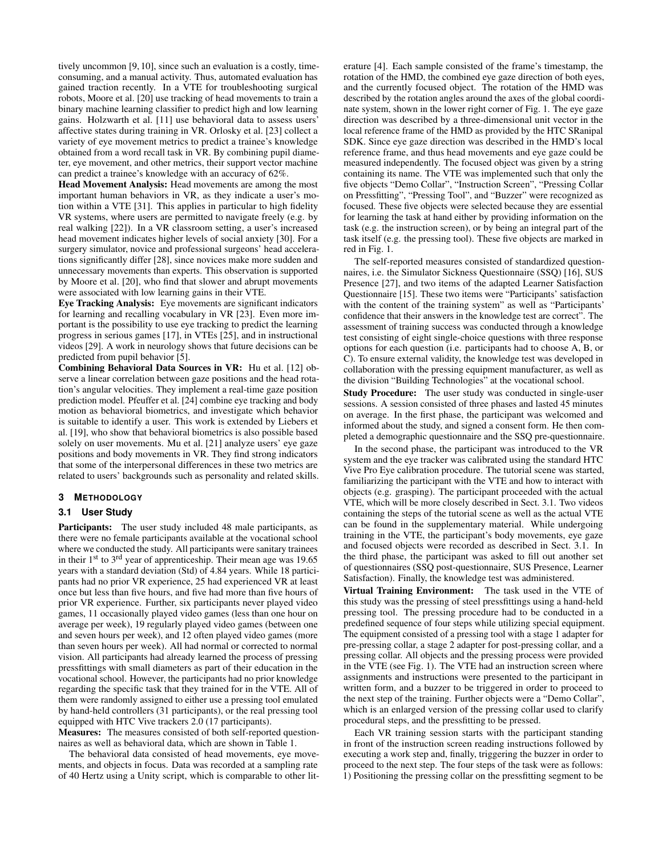tively uncommon [\[9,](#page-5-9) [10\]](#page-5-10), since such an evaluation is a costly, timeconsuming, and a manual activity. Thus, automated evaluation has gained traction recently. In a VTE for troubleshooting surgical robots, Moore et al. [\[20\]](#page-5-11) use tracking of head movements to train a binary machine learning classifier to predict high and low learning gains. Holzwarth et al. [\[11\]](#page-5-4) use behavioral data to assess users' affective states during training in VR. Orlosky et al. [\[23\]](#page-5-12) collect a variety of eye movement metrics to predict a trainee's knowledge obtained from a word recall task in VR. By combining pupil diameter, eye movement, and other metrics, their support vector machine can predict a trainee's knowledge with an accuracy of 62%.

Head Movement Analysis: Head movements are among the most important human behaviors in VR, as they indicate a user's motion within a VTE [\[31\]](#page-5-13). This applies in particular to high fidelity VR systems, where users are permitted to navigate freely (e.g. by real walking [\[22\]](#page-5-14)). In a VR classroom setting, a user's increased head movement indicates higher levels of social anxiety [\[30\]](#page-5-7). For a surgery simulator, novice and professional surgeons' head accelerations significantly differ [\[28\]](#page-5-15), since novices make more sudden and unnecessary movements than experts. This observation is supported by Moore et al. [\[20\]](#page-5-11), who find that slower and abrupt movements were associated with low learning gains in their VTE.

Eye Tracking Analysis: Eye movements are significant indicators for learning and recalling vocabulary in VR [\[23\]](#page-5-12). Even more important is the possibility to use eye tracking to predict the learning progress in serious games [\[17\]](#page-5-16), in VTEs [\[25\]](#page-5-17), and in instructional videos [\[29\]](#page-5-18). A work in neurology shows that future decisions can be predicted from pupil behavior [\[5\]](#page-5-19).

Combining Behavioral Data Sources in VR: Hu et al. [\[12\]](#page-5-20) observe a linear correlation between gaze positions and the head rotation's angular velocities. They implement a real-time gaze position prediction model. Pfeuffer et al. [\[24\]](#page-5-6) combine eye tracking and body motion as behavioral biometrics, and investigate which behavior is suitable to identify a user. This work is extended by Liebers et al. [\[19\]](#page-5-21), who show that behavioral biometrics is also possible based solely on user movements. Mu et al. [\[21\]](#page-5-22) analyze users' eye gaze positions and body movements in VR. They find strong indicators that some of the interpersonal differences in these two metrics are related to users' backgrounds such as personality and related skills.

#### **3 METHODOLOGY**

# <span id="page-1-0"></span>**3.1 User Study**

Participants: The user study included 48 male participants, as there were no female participants available at the vocational school where we conducted the study. All participants were sanitary trainees in their  $1<sup>st</sup>$  to  $3<sup>rd</sup>$  year of apprenticeship. Their mean age was 19.65 years with a standard deviation (Std) of 4.84 years. While 18 participants had no prior VR experience, 25 had experienced VR at least once but less than five hours, and five had more than five hours of prior VR experience. Further, six participants never played video games, 11 occasionally played video games (less than one hour on average per week), 19 regularly played video games (between one and seven hours per week), and 12 often played video games (more than seven hours per week). All had normal or corrected to normal vision. All participants had already learned the process of pressing pressfittings with small diameters as part of their education in the vocational school. However, the participants had no prior knowledge regarding the specific task that they trained for in the VTE. All of them were randomly assigned to either use a pressing tool emulated by hand-held controllers (31 participants), or the real pressing tool equipped with HTC Vive trackers 2.0 (17 participants).

Measures: The measures consisted of both self-reported questionnaires as well as behavioral data, which are shown in [Table 1.](#page-3-0)

The behavioral data consisted of head movements, eye movements, and objects in focus. Data was recorded at a sampling rate of 40 Hertz using a Unity script, which is comparable to other lit-

erature [\[4\]](#page-5-23). Each sample consisted of the frame's timestamp, the rotation of the HMD, the combined eye gaze direction of both eyes, and the currently focused object. The rotation of the HMD was described by the rotation angles around the axes of the global coordinate system, shown in the lower right corner of [Fig. 1.](#page-2-0) The eye gaze direction was described by a three-dimensional unit vector in the local reference frame of the HMD as provided by the HTC SRanipal SDK. Since eye gaze direction was described in the HMD's local reference frame, and thus head movements and eye gaze could be measured independently. The focused object was given by a string containing its name. The VTE was implemented such that only the five objects "Demo Collar", "Instruction Screen", "Pressing Collar on Pressfitting", "Pressing Tool", and "Buzzer" were recognized as focused. These five objects were selected because they are essential for learning the task at hand either by providing information on the task (e.g. the instruction screen), or by being an integral part of the task itself (e.g. the pressing tool). These five objects are marked in red in [Fig. 1.](#page-2-0)

The self-reported measures consisted of standardized questionnaires, i.e. the Simulator Sickness Questionnaire (SSQ) [\[16\]](#page-5-24), SUS Presence [\[27\]](#page-5-25), and two items of the adapted Learner Satisfaction Questionnaire [\[15\]](#page-5-26). These two items were "Participants' satisfaction with the content of the training system" as well as "Participants' confidence that their answers in the knowledge test are correct". The assessment of training success was conducted through a knowledge test consisting of eight single-choice questions with three response options for each question (i.e. participants had to choose A, B, or C). To ensure external validity, the knowledge test was developed in collaboration with the pressing equipment manufacturer, as well as the division "Building Technologies" at the vocational school.

Study Procedure: The user study was conducted in single-user sessions. A session consisted of three phases and lasted 45 minutes on average. In the first phase, the participant was welcomed and informed about the study, and signed a consent form. He then completed a demographic questionnaire and the SSQ pre-questionnaire.

In the second phase, the participant was introduced to the VR system and the eye tracker was calibrated using the standard HTC Vive Pro Eye calibration procedure. The tutorial scene was started, familiarizing the participant with the VTE and how to interact with objects (e.g. grasping). The participant proceeded with the actual VTE, which will be more closely described in [Sect. 3.1.](#page-1-0) Two videos containing the steps of the tutorial scene as well as the actual VTE can be found in the supplementary material. While undergoing training in the VTE, the participant's body movements, eye gaze and focused objects were recorded as described in [Sect. 3.1.](#page-1-0) In the third phase, the participant was asked to fill out another set of questionnaires (SSQ post-questionnaire, SUS Presence, Learner Satisfaction). Finally, the knowledge test was administered.

Virtual Training Environment: The task used in the VTE of this study was the pressing of steel pressfittings using a hand-held pressing tool. The pressing procedure had to be conducted in a predefined sequence of four steps while utilizing special equipment. The equipment consisted of a pressing tool with a stage 1 adapter for pre-pressing collar, a stage 2 adapter for post-pressing collar, and a pressing collar. All objects and the pressing process were provided in the VTE (see [Fig. 1\)](#page-2-0). The VTE had an instruction screen where assignments and instructions were presented to the participant in written form, and a buzzer to be triggered in order to proceed to the next step of the training. Further objects were a "Demo Collar", which is an enlarged version of the pressing collar used to clarify procedural steps, and the pressfitting to be pressed.

Each VR training session starts with the participant standing in front of the instruction screen reading instructions followed by executing a work step and, finally, triggering the buzzer in order to proceed to the next step. The four steps of the task were as follows: 1) Positioning the pressing collar on the pressfitting segment to be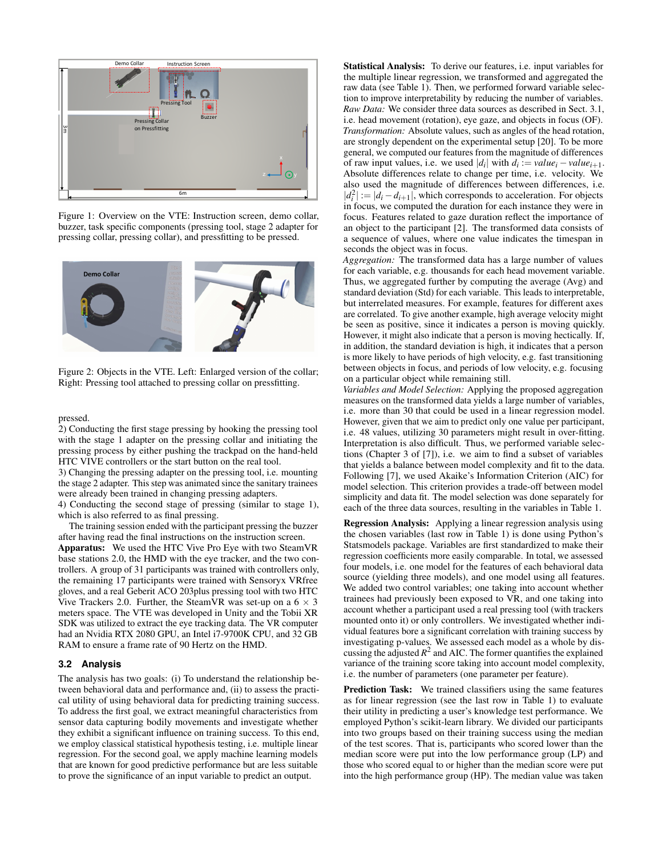<span id="page-2-0"></span>

Figure 1: Overview on the VTE: Instruction screen, demo collar, buzzer, task specific components (pressing tool, stage 2 adapter for pressing collar, pressing collar), and pressfitting to be pressed.



Figure 2: Objects in the VTE. Left: Enlarged version of the collar; Right: Pressing tool attached to pressing collar on pressfitting.

#### pressed.

2) Conducting the first stage pressing by hooking the pressing tool with the stage 1 adapter on the pressing collar and initiating the pressing process by either pushing the trackpad on the hand-held HTC VIVE controllers or the start button on the real tool.

3) Changing the pressing adapter on the pressing tool, i.e. mounting the stage 2 adapter. This step was animated since the sanitary trainees were already been trained in changing pressing adapters.

4) Conducting the second stage of pressing (similar to stage 1), which is also referred to as final pressing.

The training session ended with the participant pressing the buzzer after having read the final instructions on the instruction screen. Apparatus: We used the HTC Vive Pro Eye with two SteamVR base stations 2.0, the HMD with the eye tracker, and the two controllers. A group of 31 participants was trained with controllers only, the remaining 17 participants were trained with Sensoryx VRfree gloves, and a real Geberit ACO 203plus pressing tool with two HTC Vive Trackers 2.0. Further, the SteamVR was set-up on a  $6 \times 3$ meters space. The VTE was developed in Unity and the Tobii XR SDK was utilized to extract the eye tracking data. The VR computer had an Nvidia RTX 2080 GPU, an Intel i7-9700K CPU, and 32 GB

RAM to ensure a frame rate of 90 Hertz on the HMD.

### **3.2 Analysis**

The analysis has two goals: (i) To understand the relationship between behavioral data and performance and, (ii) to assess the practical utility of using behavioral data for predicting training success. To address the first goal, we extract meaningful characteristics from sensor data capturing bodily movements and investigate whether they exhibit a significant influence on training success. To this end, we employ classical statistical hypothesis testing, i.e. multiple linear regression. For the second goal, we apply machine learning models that are known for good predictive performance but are less suitable to prove the significance of an input variable to predict an output.

Statistical Analysis: To derive our features, i.e. input variables for the multiple linear regression, we transformed and aggregated the raw data (see [Table 1\)](#page-3-0). Then, we performed forward variable selection to improve interpretability by reducing the number of variables. *Raw Data:* We consider three data sources as described in [Sect. 3.1,](#page-1-0) i.e. head movement (rotation), eye gaze, and objects in focus (OF). *Transformation:* Absolute values, such as angles of the head rotation, are strongly dependent on the experimental setup [\[20\]](#page-5-11). To be more general, we computed our features from the magnitude of differences of raw input values, i.e. we used  $|d_i|$  with  $d_i := value_i - value_{i+1}$ . Absolute differences relate to change per time, i.e. velocity. We also used the magnitude of differences between differences, i.e.  $|d_i^2| := |d_i - d_{i+1}|$ , which corresponds to acceleration. For objects in focus, we computed the duration for each instance they were in focus. Features related to gaze duration reflect the importance of an object to the participant [\[2\]](#page-5-27). The transformed data consists of a sequence of values, where one value indicates the timespan in seconds the object was in focus.

*Aggregation:* The transformed data has a large number of values for each variable, e.g. thousands for each head movement variable. Thus, we aggregated further by computing the average (Avg) and standard deviation (Std) for each variable. This leads to interpretable, but interrelated measures. For example, features for different axes are correlated. To give another example, high average velocity might be seen as positive, since it indicates a person is moving quickly. However, it might also indicate that a person is moving hectically. If, in addition, the standard deviation is high, it indicates that a person is more likely to have periods of high velocity, e.g. fast transitioning between objects in focus, and periods of low velocity, e.g. focusing on a particular object while remaining still.

*Variables and Model Selection:* Applying the proposed aggregation measures on the transformed data yields a large number of variables, i.e. more than 30 that could be used in a linear regression model. However, given that we aim to predict only one value per participant, i.e. 48 values, utilizing 30 parameters might result in over-fitting. Interpretation is also difficult. Thus, we performed variable selections (Chapter 3 of [\[7\]](#page-5-28)), i.e. we aim to find a subset of variables that yields a balance between model complexity and fit to the data. Following [\[7\]](#page-5-28), we used Akaike's Information Criterion (AIC) for model selection. This criterion provides a trade-off between model simplicity and data fit. The model selection was done separately for each of the three data sources, resulting in the variables in Table [1.](#page-3-0)

Regression Analysis: Applying a linear regression analysis using the chosen variables (last row in Table [1\)](#page-3-0) is done using Python's Statsmodels package. Variables are first standardized to make their regression coefficients more easily comparable. In total, we assessed four models, i.e. one model for the features of each behavioral data source (yielding three models), and one model using all features. We added two control variables; one taking into account whether trainees had previously been exposed to VR, and one taking into account whether a participant used a real pressing tool (with trackers mounted onto it) or only controllers. We investigated whether individual features bore a significant correlation with training success by investigating p-values. We assessed each model as a whole by discussing the adjusted  $R^2$  and AIC. The former quantifies the explained variance of the training score taking into account model complexity, i.e. the number of parameters (one parameter per feature).

Prediction Task: We trained classifiers using the same features as for linear regression (see the last row in Table [1\)](#page-3-0) to evaluate their utility in predicting a user's knowledge test performance. We employed Python's scikit-learn library. We divided our participants into two groups based on their training success using the median of the test scores. That is, participants who scored lower than the median score were put into the low performance group (LP) and those who scored equal to or higher than the median score were put into the high performance group (HP). The median value was taken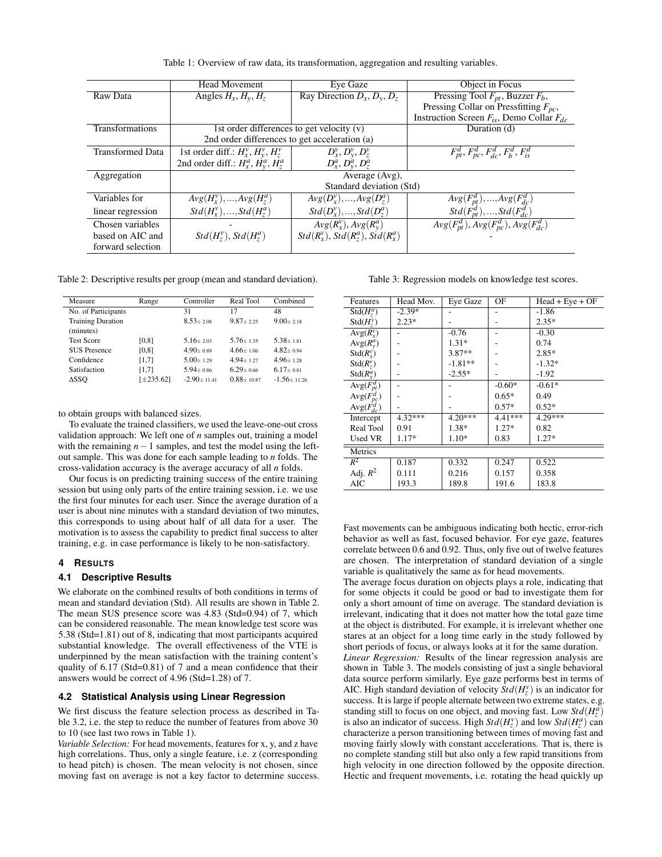Table 1: Overview of raw data, its transformation, aggregation and resulting variables.

<span id="page-3-0"></span>

|                         | <b>Head Movement</b>                               | Eye Gaze                                   | Object in Focus                                                   |
|-------------------------|----------------------------------------------------|--------------------------------------------|-------------------------------------------------------------------|
| Raw Data                | Angles $H_x, H_y, H_z$                             | Ray Direction $D_x, D_y, D_z$              | Pressing Tool $F_{pt}$ , Buzzer $F_b$ ,                           |
|                         |                                                    |                                            | Pressing Collar on Pressfitting $F_{pc}$ ,                        |
|                         |                                                    |                                            | Instruction Screen $F_{is}$ , Demo Collar $F_{dc}$                |
| Transformations         | 1st order differences to get velocity (v)          |                                            | Duration (d)                                                      |
|                         | 2nd order differences to get acceleration (a)      |                                            |                                                                   |
| <b>Transformed Data</b> | 1st order diff.: $H_x^v$ , $H_y^v$ , $H_z^v$       | $D_x^{\nu}, D_v^{\nu}, D_z^{\nu}$          | $F_{pt}^d, F_{pc}^d, F_{dc}^d, F_h^d, F_{is}^d$                   |
|                         | 2nd order diff.: $H_x^a$ , $\dot{H}_y^a$ , $H_z^a$ | $D_x^a, D_y^a, D_z^a$                      |                                                                   |
| Aggregation             | Average (Avg),                                     |                                            |                                                                   |
|                         | Standard deviation (Std)                           |                                            |                                                                   |
| Variables for           | $Avg(H_x^v), , Avg(H_z^a)$                         | $Avg(D_x^v),,Avg(D_z^a)$                   |                                                                   |
| linear regression       | $Std(H_r^v), , Std(H_7^a)$                         | $Std(D_x^v), , Std(D_7^a)$                 | $Avg(F_{pt}^d),,Avg(F_{dc}^d)$<br>Std $(F_{pt}^d),,Std(F_{dc}^d)$ |
| Chosen variables        |                                                    | $Avg(R_x^v)$ , $Avg(R_v^a)$                | $Avg(F_{pt}^d)$ , $Avg(F_{pc}^d)$ , $Avg(F_{dc}^d)$               |
| based on AIC and        | $Std(H_7^v)$ , $Std(H_7^a)$                        | $Std(R_r^v)$ , $Std(R_7^a)$ , $Std(R_r^a)$ |                                                                   |
| forward selection       |                                                    |                                            |                                                                   |

<span id="page-3-1"></span>Table 2: Descriptive results per group (mean and standard deviation).

| Measure                  | Range     | Controller      | Real Tool      | Combined        |
|--------------------------|-----------|-----------------|----------------|-----------------|
| No. of Participants      |           | 31              | 17             | 48              |
| <b>Training Duration</b> |           | $8.53 + 2.08$   | $9.87 + 2.25$  | $9.00 + 2.18$   |
| (minutes)                |           |                 |                |                 |
| <b>Test Score</b>        | [0, 8]    | $5.16 + 2.03$   | $5.76 + 1.35$  | $5.38 + 1.81$   |
| <b>SUS</b> Presence      | [0, 8]    | $4.90 + 0.89$   | $4.66 + 1.06$  | $4.82 + 0.94$   |
| Confidence               | [1,7]     | $5.00 + 1.29$   | $4.94 + 1.27$  | $4.96 + 1.28$   |
| Satisfaction             | [1,7]     | $5.94 + 0.86$   | $6.29 + 0.66$  | $6.17 + 0.81$   |
| ΔSSO                     | [±235.62] | $-2.90 + 11.41$ | $0.88 + 10.87$ | $-1.56 + 11.26$ |

to obtain groups with balanced sizes.

To evaluate the trained classifiers, we used the leave-one-out cross validation approach: We left one of *n* samples out, training a model with the remaining *n*−1 samples, and test the model using the leftout sample. This was done for each sample leading to *n* folds. The cross-validation accuracy is the average accuracy of all *n* folds.

Our focus is on predicting training success of the entire training session but using only parts of the entire training session, i.e. we use the first four minutes for each user. Since the average duration of a user is about nine minutes with a standard deviation of two minutes, this corresponds to using about half of all data for a user. The motivation is to assess the capability to predict final success to alter training, e.g. in case performance is likely to be non-satisfactory.

# **4 RESULTS**

# **4.1 Descriptive Results**

We elaborate on the combined results of both conditions in terms of mean and standard deviation (Std). All results are shown in [Table 2.](#page-3-1) The mean SUS presence score was 4.83 (Std=0.94) of 7, which can be considered reasonable. The mean knowledge test score was 5.38 (Std=1.81) out of 8, indicating that most participants acquired substantial knowledge. The overall effectiveness of the VTE is underpinned by the mean satisfaction with the training content's quality of 6.17 (Std=0.81) of 7 and a mean confidence that their answers would be correct of 4.96 (Std=1.28) of 7.

# **4.2 Statistical Analysis using Linear Regression**

We first discuss the feature selection process as described in [Ta](#page-3-0)[ble 3.2,](#page-3-0) i.e. the step to reduce the number of features from above 30 to 10 (see last two rows in [Table 1\)](#page-3-0).

*Variable Selection:* For head movements, features for x, y, and z have high correlations. Thus, only a single feature, i.e. z (corresponding to head pitch) is chosen. The mean velocity is not chosen, since moving fast on average is not a key factor to determine success.

Table 3: Regression models on knowledge test scores.

<span id="page-3-2"></span>

| Features         | Head Mov. | Eye Gaze  | OF        | $Head + Eye + OF$ |
|------------------|-----------|-----------|-----------|-------------------|
| $Std(H^a_\tau)$  | $-2.39*$  |           |           | $-1.86$           |
| $Std(H^v)$       | $2.23*$   |           |           | $2.35*$           |
| $Avg(R_v^v)$     |           | $-0.76$   |           | $-0.30$           |
| $Avg(R_v^a)$     |           | $1.31*$   |           | 0.74              |
| $Std(R_r^v)$     |           | $3.87**$  |           | $2.85*$           |
| $Std(R_7^{\nu})$ |           | $-1.81**$ |           | $-1.32*$          |
| $Std(R_r^a)$     |           | $-2.55*$  |           | $-1.92$           |
| $Avg(F_{pt}^d)$  |           |           | $-0.60*$  | $-0.61*$          |
| $Avg(F_{pc}^d)$  |           |           | $0.65*$   | 0.49              |
| $Avg(F_{dc}^d)$  |           |           | $0.57*$   | $0.52*$           |
| Intercept        | 4.32***   | $4.20***$ | $4.41***$ | 4.29***           |
| Real Tool        | 0.91      | 1.38*     | $1.27*$   | 0.82              |
| Used VR          | $1.17*$   | $1.10*$   | 0.83      | $1.27*$           |
| Metrics          |           |           |           |                   |
| $R^2$            | 0.187     | 0.332     | 0.247     | 0.522             |
| Adj. $R^2$       | 0.111     | 0.216     | 0.157     | 0.358             |
| AIC              | 193.3     | 189.8     | 191.6     | 183.8             |

Fast movements can be ambiguous indicating both hectic, error-rich behavior as well as fast, focused behavior. For eye gaze, features correlate between 0.6 and 0.92. Thus, only five out of twelve features are chosen. The interpretation of standard deviation of a single variable is qualitatively the same as for head movements.

The average focus duration on objects plays a role, indicating that for some objects it could be good or bad to investigate them for only a short amount of time on average. The standard deviation is irrelevant, indicating that it does not matter how the total gaze time at the object is distributed. For example, it is irrelevant whether one stares at an object for a long time early in the study followed by short periods of focus, or always looks at it for the same duration. *Linear Regression:* Results of the linear regression analysis are shown in [Table 3.](#page-3-2) The models consisting of just a single behavioral data source perform similarly. Eye gaze performs best in terms of AIC. High standard deviation of velocity  $\hat{S}td(H_z^{\nu})$  is an indicator for success. It is large if people alternate between two extreme states, e.g. standing still to focus on one object, and moving fast. Low  $Std(H_z^a)$ is also an indicator of success. High  $Std(H_z^{\nu})$  and low  $Std(H_z^a)$  can characterize a person transitioning between times of moving fast and

moving fairly slowly with constant accelerations. That is, there is no complete standing still but also only a few rapid transitions from high velocity in one direction followed by the opposite direction. Hectic and frequent movements, i.e. rotating the head quickly up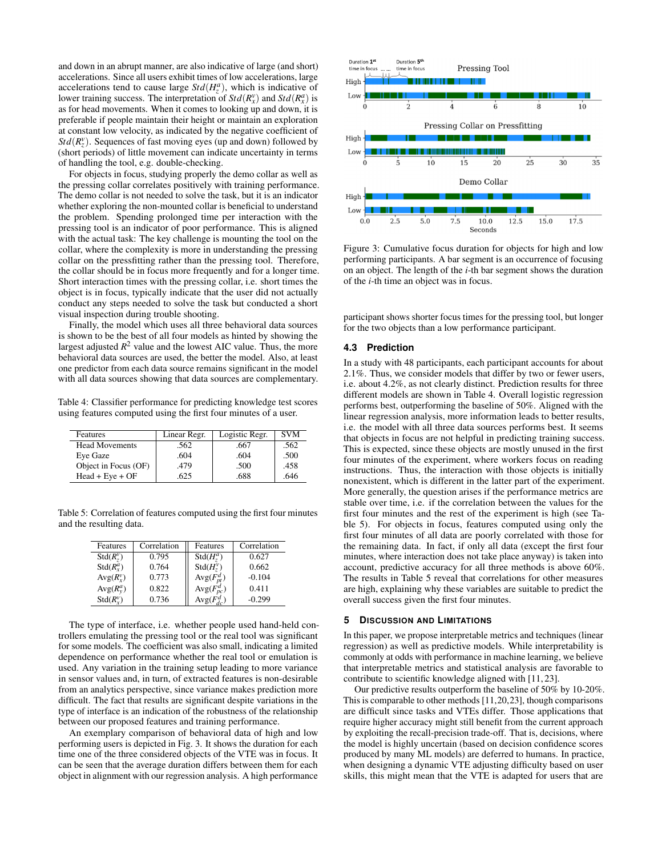and down in an abrupt manner, are also indicative of large (and short) accelerations. Since all users exhibit times of low accelerations, large accelerations tend to cause large  $Std(H_z^a)$ , which is indicative of lower training success. The interpretation of  $Std(R_x^v)$  and  $Std(R_x^a)$  is as for head movements. When it comes to looking up and down, it is preferable if people maintain their height or maintain an exploration at constant low velocity, as indicated by the negative coefficient of  $Std(R_z^v)$ . Sequences of fast moving eyes (up and down) followed by (short periods) of little movement can indicate uncertainty in terms of handling the tool, e.g. double-checking.

For objects in focus, studying properly the demo collar as well as the pressing collar correlates positively with training performance. The demo collar is not needed to solve the task, but it is an indicator whether exploring the non-mounted collar is beneficial to understand the problem. Spending prolonged time per interaction with the pressing tool is an indicator of poor performance. This is aligned with the actual task: The key challenge is mounting the tool on the collar, where the complexity is more in understanding the pressing collar on the pressfitting rather than the pressing tool. Therefore, the collar should be in focus more frequently and for a longer time. Short interaction times with the pressing collar, i.e. short times the object is in focus, typically indicate that the user did not actually conduct any steps needed to solve the task but conducted a short visual inspection during trouble shooting.

Finally, the model which uses all three behavioral data sources is shown to be the best of all four models as hinted by showing the largest adjusted  $R^2$  value and the lowest AIC value. Thus, the more behavioral data sources are used, the better the model. Also, at least one predictor from each data source remains significant in the model with all data sources showing that data sources are complementary.

<span id="page-4-1"></span>Table 4: Classifier performance for predicting knowledge test scores using features computed using the first four minutes of a user.

| Features              | Linear Regr. | Logistic Regr. | <b>SVM</b> |
|-----------------------|--------------|----------------|------------|
| <b>Head Movements</b> | .562         | .667           | .562       |
| Eye Gaze              | .604         | .604           | .500       |
| Object in Focus (OF)  | .479         | .500           | .458       |
| $Head + Eve + OF$     | .625         | .688           | .646       |

<span id="page-4-2"></span>Table 5: Correlation of features computed using the first four minutes and the resulting data.

| Features     | Correlation | Features        | Correlation |
|--------------|-------------|-----------------|-------------|
| $Std(R_7^v)$ | 0.795       | $Std(H^a_7)$    | 0.627       |
| $Std(R_r^a)$ | 0.764       | $Std(H^v_7)$    | 0.662       |
| $Avg(R_v^v)$ | 0.773       | $Avg(F_{nt}^d)$ | $-0.104$    |
| $Avg(R_v^a)$ | 0.822       | $Avg(F_{pc}^d)$ | 0.411       |
| $Std(R_v^v)$ | 0.736       | $Avg(F_d^d)$    | $-0.299$    |

The type of interface, i.e. whether people used hand-held controllers emulating the pressing tool or the real tool was significant for some models. The coefficient was also small, indicating a limited dependence on performance whether the real tool or emulation is used. Any variation in the training setup leading to more variance in sensor values and, in turn, of extracted features is non-desirable from an analytics perspective, since variance makes prediction more difficult. The fact that results are significant despite variations in the type of interface is an indication of the robustness of the relationship between our proposed features and training performance.

An exemplary comparison of behavioral data of high and low performing users is depicted in [Fig. 3.](#page-4-0) It shows the duration for each time one of the three considered objects of the VTE was in focus. It can be seen that the average duration differs between them for each object in alignment with our regression analysis. A high performance

<span id="page-4-0"></span>

Figure 3: Cumulative focus duration for objects for high and low performing participants. A bar segment is an occurrence of focusing on an object. The length of the *i*-th bar segment shows the duration of the *i*-th time an object was in focus.

participant shows shorter focus times for the pressing tool, but longer for the two objects than a low performance participant.

### **4.3 Prediction**

In a study with 48 participants, each participant accounts for about 2.1%. Thus, we consider models that differ by two or fewer users, i.e. about 4.2%, as not clearly distinct. Prediction results for three different models are shown in [Table 4.](#page-4-1) Overall logistic regression performs best, outperforming the baseline of 50%. Aligned with the linear regression analysis, more information leads to better results, i.e. the model with all three data sources performs best. It seems that objects in focus are not helpful in predicting training success. This is expected, since these objects are mostly unused in the first four minutes of the experiment, where workers focus on reading instructions. Thus, the interaction with those objects is initially nonexistent, which is different in the latter part of the experiment. More generally, the question arises if the performance metrics are stable over time, i.e. if the correlation between the values for the first four minutes and the rest of the experiment is high (see [Ta](#page-4-2)[ble 5\)](#page-4-2). For objects in focus, features computed using only the first four minutes of all data are poorly correlated with those for the remaining data. In fact, if only all data (except the first four minutes, where interaction does not take place anyway) is taken into account, predictive accuracy for all three methods is above 60%. The results in [Table 5](#page-4-2) reveal that correlations for other measures are high, explaining why these variables are suitable to predict the overall success given the first four minutes.

#### **5 DISCUSSION AND LIMITATIONS**

In this paper, we propose interpretable metrics and techniques (linear regression) as well as predictive models. While interpretability is commonly at odds with performance in machine learning, we believe that interpretable metrics and statistical analysis are favorable to contribute to scientific knowledge aligned with [\[11,](#page-5-4) [23\]](#page-5-12).

Our predictive results outperform the baseline of 50% by 10-20%. This is comparable to other methods [\[11](#page-5-4)[,20,](#page-5-11)[23\]](#page-5-12), though comparisons are difficult since tasks and VTEs differ. Those applications that require higher accuracy might still benefit from the current approach by exploiting the recall-precision trade-off. That is, decisions, where the model is highly uncertain (based on decision confidence scores produced by many ML models) are deferred to humans. In practice, when designing a dynamic VTE adjusting difficulty based on user skills, this might mean that the VTE is adapted for users that are